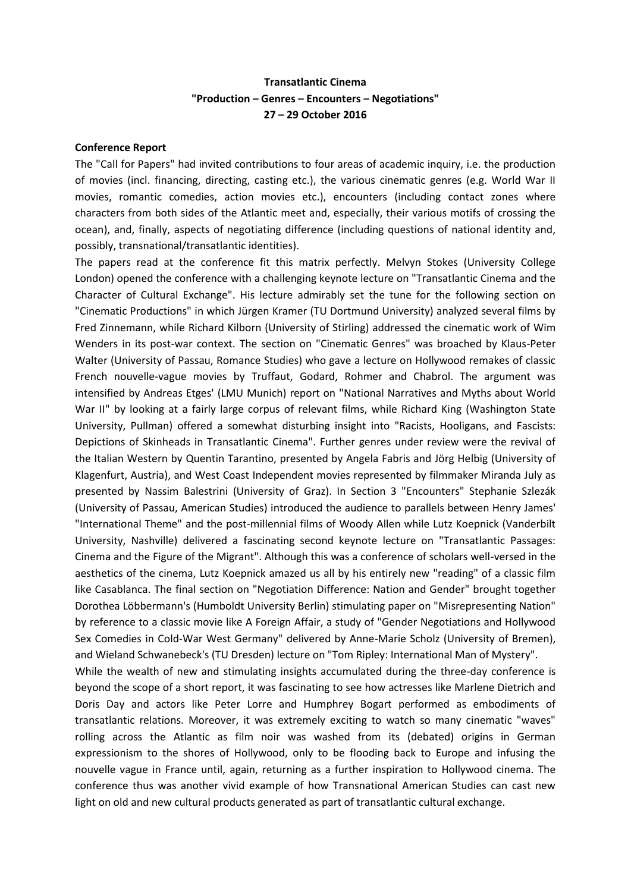## **Transatlantic Cinema "Production – Genres – Encounters – Negotiations" 27 – 29 October 2016**

## **Conference Report**

The "Call for Papers" had invited contributions to four areas of academic inquiry, i.e. the production of movies (incl. financing, directing, casting etc.), the various cinematic genres (e.g. World War II movies, romantic comedies, action movies etc.), encounters (including contact zones where characters from both sides of the Atlantic meet and, especially, their various motifs of crossing the ocean), and, finally, aspects of negotiating difference (including questions of national identity and, possibly, transnational/transatlantic identities).

The papers read at the conference fit this matrix perfectly. Melvyn Stokes (University College London) opened the conference with a challenging keynote lecture on "Transatlantic Cinema and the Character of Cultural Exchange". His lecture admirably set the tune for the following section on "Cinematic Productions" in which Jürgen Kramer (TU Dortmund University) analyzed several films by Fred Zinnemann, while Richard Kilborn (University of Stirling) addressed the cinematic work of Wim Wenders in its post-war context. The section on "Cinematic Genres" was broached by Klaus-Peter Walter (University of Passau, Romance Studies) who gave a lecture on Hollywood remakes of classic French nouvelle-vague movies by Truffaut, Godard, Rohmer and Chabrol. The argument was intensified by Andreas Etges' (LMU Munich) report on "National Narratives and Myths about World War II" by looking at a fairly large corpus of relevant films, while Richard King (Washington State University, Pullman) offered a somewhat disturbing insight into "Racists, Hooligans, and Fascists: Depictions of Skinheads in Transatlantic Cinema". Further genres under review were the revival of the Italian Western by Quentin Tarantino, presented by Angela Fabris and Jörg Helbig (University of Klagenfurt, Austria), and West Coast Independent movies represented by filmmaker Miranda July as presented by Nassim Balestrini (University of Graz). In Section 3 "Encounters" Stephanie Szlezák (University of Passau, American Studies) introduced the audience to parallels between Henry James' "International Theme" and the post-millennial films of Woody Allen while Lutz Koepnick (Vanderbilt University, Nashville) delivered a fascinating second keynote lecture on "Transatlantic Passages: Cinema and the Figure of the Migrant". Although this was a conference of scholars well-versed in the aesthetics of the cinema, Lutz Koepnick amazed us all by his entirely new "reading" of a classic film like Casablanca. The final section on "Negotiation Difference: Nation and Gender" brought together Dorothea Löbbermann's (Humboldt University Berlin) stimulating paper on "Misrepresenting Nation" by reference to a classic movie like A Foreign Affair, a study of "Gender Negotiations and Hollywood Sex Comedies in Cold-War West Germany" delivered by Anne-Marie Scholz (University of Bremen), and Wieland Schwanebeck's (TU Dresden) lecture on "Tom Ripley: International Man of Mystery". While the wealth of new and stimulating insights accumulated during the three-day conference is

beyond the scope of a short report, it was fascinating to see how actresses like Marlene Dietrich and Doris Day and actors like Peter Lorre and Humphrey Bogart performed as embodiments of transatlantic relations. Moreover, it was extremely exciting to watch so many cinematic "waves" rolling across the Atlantic as film noir was washed from its (debated) origins in German expressionism to the shores of Hollywood, only to be flooding back to Europe and infusing the nouvelle vague in France until, again, returning as a further inspiration to Hollywood cinema. The conference thus was another vivid example of how Transnational American Studies can cast new light on old and new cultural products generated as part of transatlantic cultural exchange.